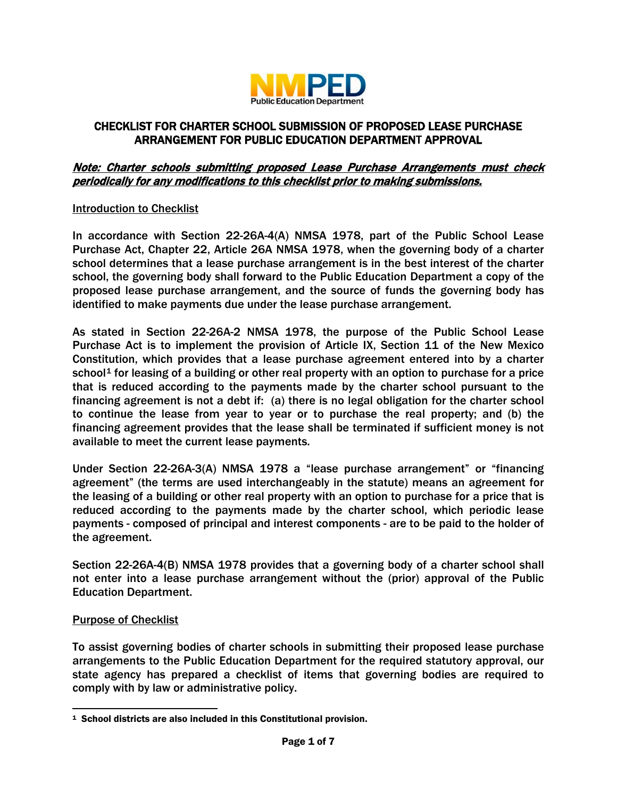

# CHECKLIST FOR CHARTER SCHOOL SUBMISSION OF PROPOSED LEASE PURCHASE ARRANGEMENT FOR PUBLIC EDUCATION DEPARTMENT APPROVAL

## Note: Charter schools submitting proposed Lease Purchase Arrangements must check periodically for any modifications to this checklist prior to making submissions.

#### Introduction to Checklist

In accordance with Section 22-26A-4(A) NMSA 1978, part of the Public School Lease Purchase Act, Chapter 22, Article 26A NMSA 1978, when the governing body of a charter school determines that a lease purchase arrangement is in the best interest of the charter school, the governing body shall forward to the Public Education Department a copy of the proposed lease purchase arrangement, and the source of funds the governing body has identified to make payments due under the lease purchase arrangement.

As stated in Section 22-26A-2 NMSA 1978, the purpose of the Public School Lease Purchase Act is to implement the provision of Article IX, Section 11 of the New Mexico Constitution, which provides that a lease purchase agreement entered into by a charter school<sup>[1](#page-0-0)</sup> for leasing of a building or other real property with an option to purchase for a price that is reduced according to the payments made by the charter school pursuant to the financing agreement is not a debt if: (a) there is no legal obligation for the charter school to continue the lease from year to year or to purchase the real property; and (b) the financing agreement provides that the lease shall be terminated if sufficient money is not available to meet the current lease payments.

Under Section 22-26A-3(A) NMSA 1978 a "lease purchase arrangement" or "financing agreement" (the terms are used interchangeably in the statute) means an agreement for the leasing of a building or other real property with an option to purchase for a price that is reduced according to the payments made by the charter school, which periodic lease payments - composed of principal and interest components - are to be paid to the holder of the agreement.

Section 22-26A-4(B) NMSA 1978 provides that a governing body of a charter school shall not enter into a lease purchase arrangement without the (prior) approval of the Public Education Department.

#### Purpose of Checklist

To assist governing bodies of charter schools in submitting their proposed lease purchase arrangements to the Public Education Department for the required statutory approval, our state agency has prepared a checklist of items that governing bodies are required to comply with by law or administrative policy.

<span id="page-0-0"></span><sup>1</sup> School districts are also included in this Constitutional provision.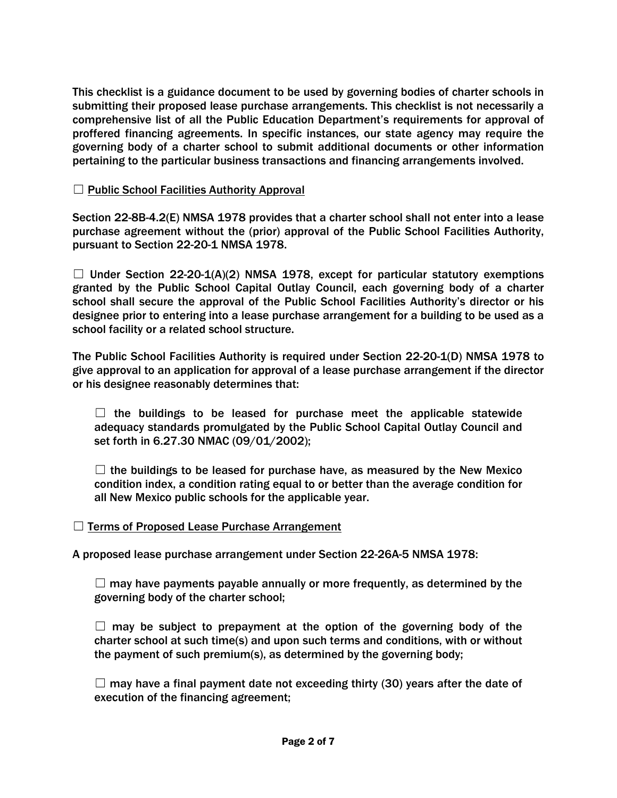This checklist is a guidance document to be used by governing bodies of charter schools in submitting their proposed lease purchase arrangements. This checklist is not necessarily a comprehensive list of all the Public Education Department's requirements for approval of proffered financing agreements. In specific instances, our state agency may require the governing body of a charter school to submit additional documents or other information pertaining to the particular business transactions and financing arrangements involved.

## $\Box$  Public School Facilities Authority Approval

Section 22-8B-4.2(E) NMSA 1978 provides that a charter school shall not enter into a lease purchase agreement without the (prior) approval of the Public School Facilities Authority, pursuant to Section 22-20-1 NMSA 1978.

 $\Box$  Under Section 22-20-1(A)(2) NMSA 1978, except for particular statutory exemptions granted by the Public School Capital Outlay Council, each governing body of a charter school shall secure the approval of the Public School Facilities Authority's director or his designee prior to entering into a lease purchase arrangement for a building to be used as a school facility or a related school structure.

The Public School Facilities Authority is required under Section 22-20-1(D) NMSA 1978 to give approval to an application for approval of a lease purchase arrangement if the director or his designee reasonably determines that:

 $\Box$  the buildings to be leased for purchase meet the applicable statewide adequacy standards promulgated by the Public School Capital Outlay Council and set forth in 6.27.30 NMAC (09/01/2002);

 $\Box$  the buildings to be leased for purchase have, as measured by the New Mexico condition index, a condition rating equal to or better than the average condition for all New Mexico public schools for the applicable year.

#### □ Terms of Proposed Lease Purchase Arrangement

A proposed lease purchase arrangement under Section 22-26A-5 NMSA 1978:

 $\Box$  may have payments payable annually or more frequently, as determined by the governing body of the charter school;

 $\Box$  may be subject to prepayment at the option of the governing body of the charter school at such time(s) and upon such terms and conditions, with or without the payment of such premium(s), as determined by the governing body;

 $\Box$  may have a final payment date not exceeding thirty (30) years after the date of execution of the financing agreement;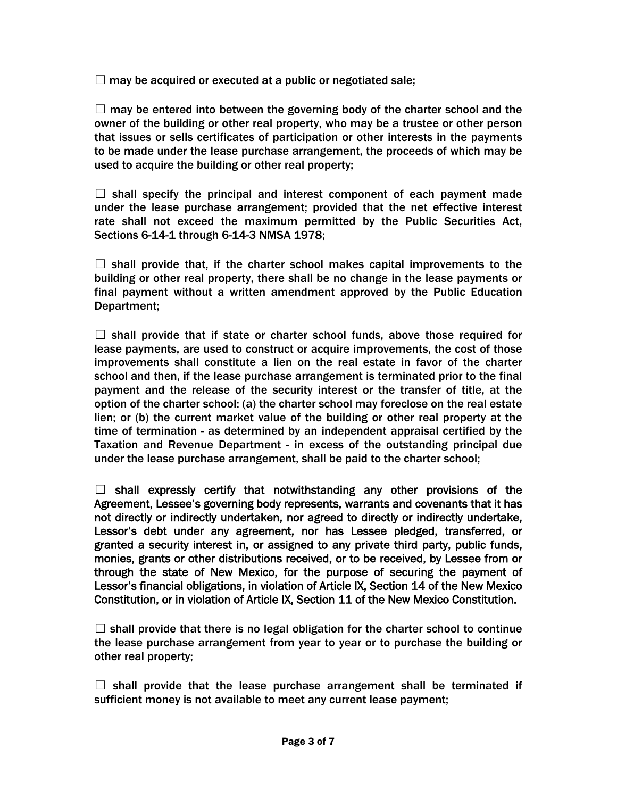$\Box$  may be acquired or executed at a public or negotiated sale;

 $\Box$  may be entered into between the governing body of the charter school and the owner of the building or other real property, who may be a trustee or other person that issues or sells certificates of participation or other interests in the payments to be made under the lease purchase arrangement, the proceeds of which may be used to acquire the building or other real property;

 $\Box$  shall specify the principal and interest component of each payment made under the lease purchase arrangement; provided that the net effective interest rate shall not exceed the maximum permitted by the Public Securities Act, Sections 6-14-1 through 6-14-3 NMSA 1978;

 $\Box$  shall provide that, if the charter school makes capital improvements to the building or other real property, there shall be no change in the lease payments or final payment without a written amendment approved by the Public Education Department;

 $\Box$  shall provide that if state or charter school funds, above those required for lease payments, are used to construct or acquire improvements, the cost of those improvements shall constitute a lien on the real estate in favor of the charter school and then, if the lease purchase arrangement is terminated prior to the final payment and the release of the security interest or the transfer of title, at the option of the charter school: (a) the charter school may foreclose on the real estate lien; or (b) the current market value of the building or other real property at the time of termination - as determined by an independent appraisal certified by the Taxation and Revenue Department - in excess of the outstanding principal due under the lease purchase arrangement, shall be paid to the charter school;

 $\Box$  shall expressly certify that notwithstanding any other provisions of the Agreement, Lessee's governing body represents, warrants and covenants that it has not directly or indirectly undertaken, nor agreed to directly or indirectly undertake, Lessor's debt under any agreement, nor has Lessee pledged, transferred, or granted a security interest in, or assigned to any private third party, public funds, monies, grants or other distributions received, or to be received, by Lessee from or through the state of New Mexico, for the purpose of securing the payment of Lessor's financial obligations, in violation of Article IX, Section 14 of the New Mexico Constitution, or in violation of Article IX, Section 11 of the New Mexico Constitution.

 $\Box$  shall provide that there is no legal obligation for the charter school to continue the lease purchase arrangement from year to year or to purchase the building or other real property;

 $\Box$  shall provide that the lease purchase arrangement shall be terminated if sufficient money is not available to meet any current lease payment;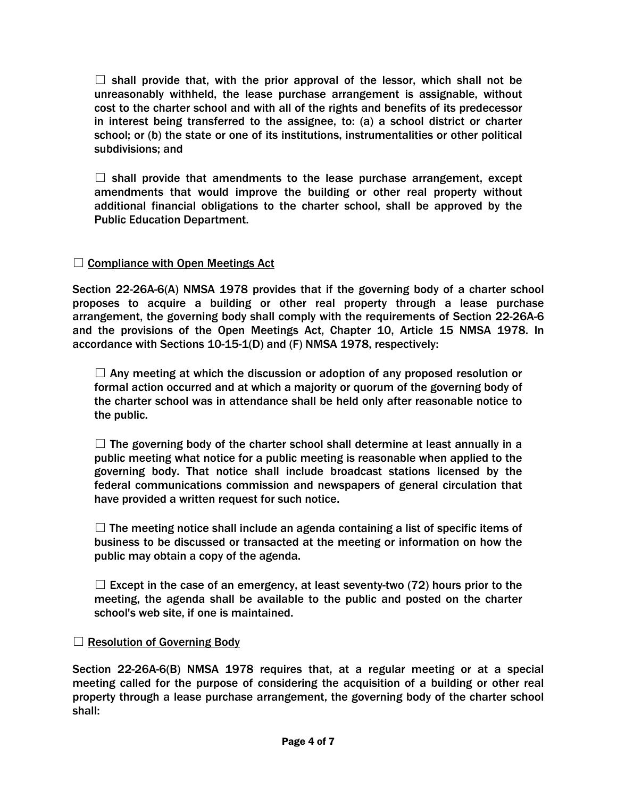$\Box$  shall provide that, with the prior approval of the lessor, which shall not be unreasonably withheld, the lease purchase arrangement is assignable, without cost to the charter school and with all of the rights and benefits of its predecessor in interest being transferred to the assignee, to: (a) a school district or charter school; or (b) the state or one of its institutions, instrumentalities or other political subdivisions; and

 $\Box$  shall provide that amendments to the lease purchase arrangement, except amendments that would improve the building or other real property without additional financial obligations to the charter school, shall be approved by the Public Education Department.

## $\Box$  Compliance with Open Meetings Act

Section 22-26A-6(A) NMSA 1978 provides that if the governing body of a charter school proposes to acquire a building or other real property through a lease purchase arrangement, the governing body shall comply with the requirements of Section 22-26A-6 and the provisions of the Open Meetings Act, Chapter 10, Article 15 NMSA 1978. In accordance with Sections 10-15-1(D) and (F) NMSA 1978, respectively:

 $\Box$  Any meeting at which the discussion or adoption of any proposed resolution or formal action occurred and at which a majority or quorum of the governing body of the charter school was in attendance shall be held only after reasonable notice to the public.

 $\Box$  The governing body of the charter school shall determine at least annually in a public meeting what notice for a public meeting is reasonable when applied to the governing body. That notice shall include broadcast stations licensed by the federal communications commission and newspapers of general circulation that have provided a written request for such notice.

 $\Box$  The meeting notice shall include an agenda containing a list of specific items of business to be discussed or transacted at the meeting or information on how the public may obtain a copy of the agenda.

 $\Box$  Except in the case of an emergency, at least seventy-two (72) hours prior to the meeting, the agenda shall be available to the public and posted on the charter school's web site, if one is maintained.

#### $\Box$  Resolution of Governing Body

Section 22-26A-6(B) NMSA 1978 requires that, at a regular meeting or at a special meeting called for the purpose of considering the acquisition of a building or other real property through a lease purchase arrangement, the governing body of the charter school shall: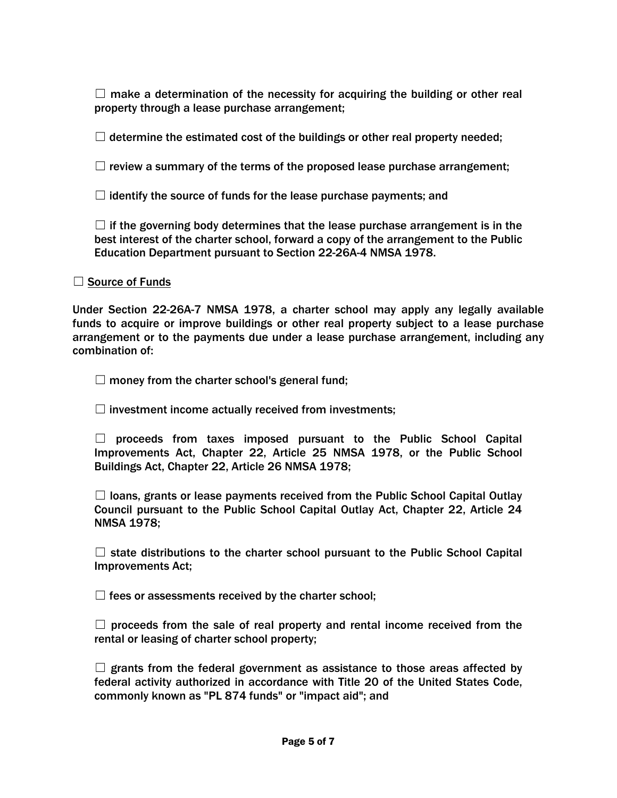$\Box$  make a determination of the necessity for acquiring the building or other real property through a lease purchase arrangement;

 $\Box$  determine the estimated cost of the buildings or other real property needed;

 $\Box$  review a summary of the terms of the proposed lease purchase arrangement;

 $\Box$  identify the source of funds for the lease purchase payments; and

 $\Box$  if the governing body determines that the lease purchase arrangement is in the best interest of the charter school, forward a copy of the arrangement to the Public Education Department pursuant to Section 22-26A-4 NMSA 1978.

□ Source of Funds

Under Section 22-26A-7 NMSA 1978, a charter school may apply any legally available funds to acquire or improve buildings or other real property subject to a lease purchase arrangement or to the payments due under a lease purchase arrangement, including any combination of:

 $\Box$  money from the charter school's general fund;

 $\Box$  investment income actually received from investments;

 $\Box$  proceeds from taxes imposed pursuant to the Public School Capital Improvements Act, Chapter 22, Article 25 NMSA 1978, or the Public School Buildings Act, Chapter 22, Article 26 NMSA 1978;

 $\Box$  loans, grants or lease payments received from the Public School Capital Outlay Council pursuant to the Public School Capital Outlay Act, Chapter 22, Article 24 NMSA 1978;

 $\Box$  state distributions to the charter school pursuant to the Public School Capital Improvements Act;

 $\Box$  fees or assessments received by the charter school;

 $\Box$  proceeds from the sale of real property and rental income received from the rental or leasing of charter school property;

 $\Box$  grants from the federal government as assistance to those areas affected by federal activity authorized in accordance with Title 20 of the United States Code, commonly known as "PL 874 funds" or "impact aid"; and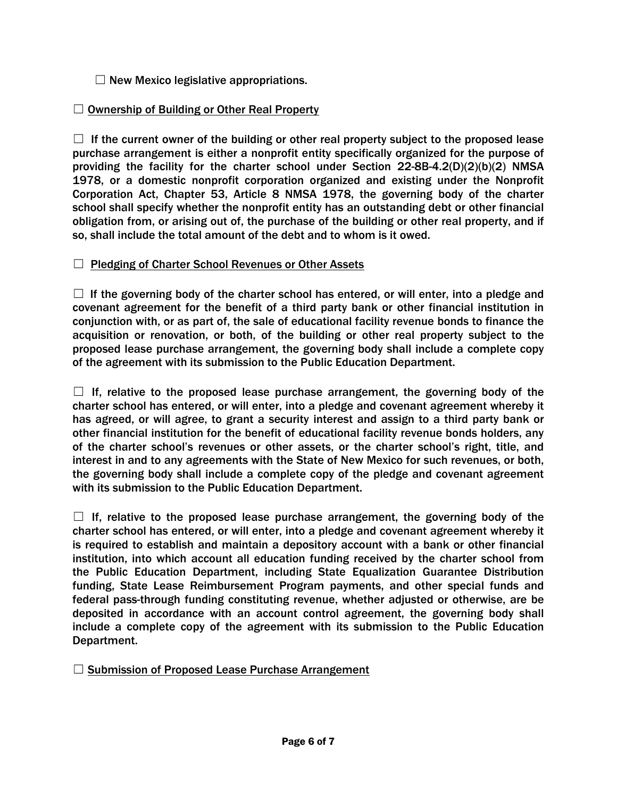$\Box$  New Mexico legislative appropriations.

# □ Ownership of Building or Other Real Property

 $\Box$  If the current owner of the building or other real property subject to the proposed lease purchase arrangement is either a nonprofit entity specifically organized for the purpose of providing the facility for the charter school under Section 22-8B-4.2(D)(2)(b)(2) NMSA 1978, or a domestic nonprofit corporation organized and existing under the Nonprofit Corporation Act, Chapter 53, Article 8 NMSA 1978, the governing body of the charter school shall specify whether the nonprofit entity has an outstanding debt or other financial obligation from, or arising out of, the purchase of the building or other real property, and if so, shall include the total amount of the debt and to whom is it owed.

# □ Pledging of Charter School Revenues or Other Assets

 $\Box$  If the governing body of the charter school has entered, or will enter, into a pledge and covenant agreement for the benefit of a third party bank or other financial institution in conjunction with, or as part of, the sale of educational facility revenue bonds to finance the acquisition or renovation, or both, of the building or other real property subject to the proposed lease purchase arrangement, the governing body shall include a complete copy of the agreement with its submission to the Public Education Department.

 $\Box$  If, relative to the proposed lease purchase arrangement, the governing body of the charter school has entered, or will enter, into a pledge and covenant agreement whereby it has agreed, or will agree, to grant a security interest and assign to a third party bank or other financial institution for the benefit of educational facility revenue bonds holders, any of the charter school's revenues or other assets, or the charter school's right, title, and interest in and to any agreements with the State of New Mexico for such revenues, or both, the governing body shall include a complete copy of the pledge and covenant agreement with its submission to the Public Education Department.

 $\Box$  If, relative to the proposed lease purchase arrangement, the governing body of the charter school has entered, or will enter, into a pledge and covenant agreement whereby it is required to establish and maintain a depository account with a bank or other financial institution, into which account all education funding received by the charter school from the Public Education Department, including State Equalization Guarantee Distribution funding, State Lease Reimbursement Program payments, and other special funds and federal pass-through funding constituting revenue, whether adjusted or otherwise, are be deposited in accordance with an account control agreement, the governing body shall include a complete copy of the agreement with its submission to the Public Education Department.

□ Submission of Proposed Lease Purchase Arrangement